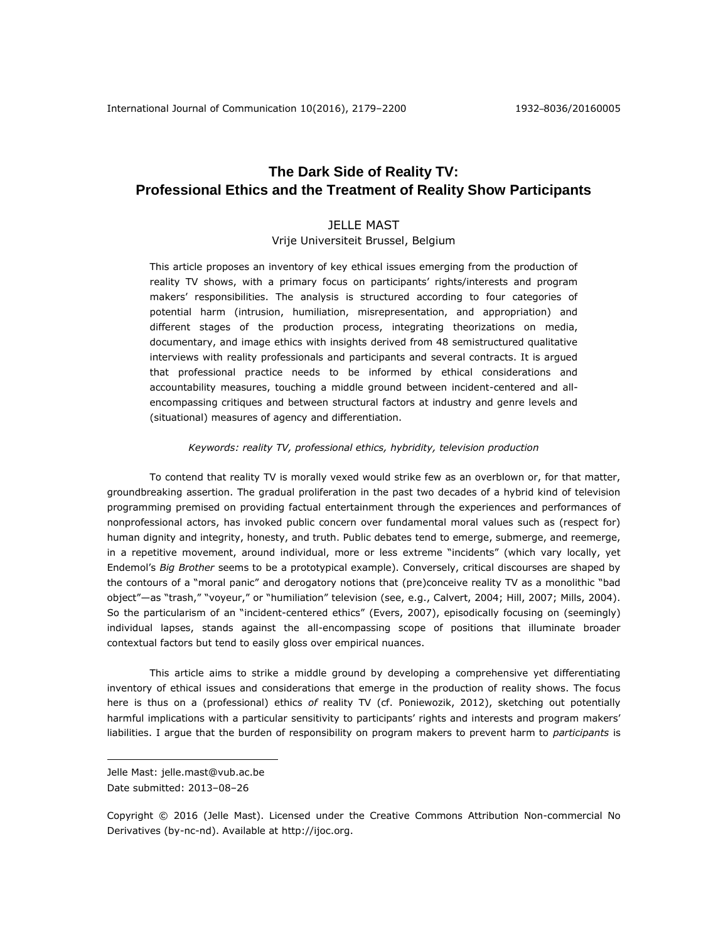# **The Dark Side of Reality TV: Professional Ethics and the Treatment of Reality Show Participants**

## JELLE MAST

Vrije Universiteit Brussel, Belgium

This article proposes an inventory of key ethical issues emerging from the production of reality TV shows, with a primary focus on participants' rights/interests and program makers' responsibilities. The analysis is structured according to four categories of potential harm (intrusion, humiliation, misrepresentation, and appropriation) and different stages of the production process, integrating theorizations on media, documentary, and image ethics with insights derived from 48 semistructured qualitative interviews with reality professionals and participants and several contracts. It is argued that professional practice needs to be informed by ethical considerations and accountability measures, touching a middle ground between incident-centered and allencompassing critiques and between structural factors at industry and genre levels and (situational) measures of agency and differentiation.

## *Keywords: reality TV, professional ethics, hybridity, television production*

To contend that reality TV is morally vexed would strike few as an overblown or, for that matter, groundbreaking assertion. The gradual proliferation in the past two decades of a hybrid kind of television programming premised on providing factual entertainment through the experiences and performances of nonprofessional actors, has invoked public concern over fundamental moral values such as (respect for) human dignity and integrity, honesty, and truth. Public debates tend to emerge, submerge, and reemerge, in a repetitive movement, around individual, more or less extreme "incidents" (which vary locally, yet Endemol's *Big Brother* seems to be a prototypical example). Conversely, critical discourses are shaped by the contours of a "moral panic" and derogatory notions that (pre)conceive reality TV as a monolithic "bad object"—as "trash," "voyeur," or "humiliation" television (see, e.g., Calvert, 2004; Hill, 2007; Mills, 2004). So the particularism of an "incident-centered ethics" (Evers, 2007), episodically focusing on (seemingly) individual lapses, stands against the all-encompassing scope of positions that illuminate broader contextual factors but tend to easily gloss over empirical nuances.

This article aims to strike a middle ground by developing a comprehensive yet differentiating inventory of ethical issues and considerations that emerge in the production of reality shows. The focus here is thus on a (professional) ethics *of* reality TV (cf. Poniewozik, 2012), sketching out potentially harmful implications with a particular sensitivity to participants' rights and interests and program makers' liabilities. I argue that the burden of responsibility on program makers to prevent harm to *participants* is

 $\overline{a}$ 

Jelle Mast: jelle.mast@vub.ac.be

Date submitted: 2013–08–26

Copyright © 2016 (Jelle Mast). Licensed under the Creative Commons Attribution Non-commercial No Derivatives (by-nc-nd). Available at [http://ijoc.org.](http://ijoc.org/)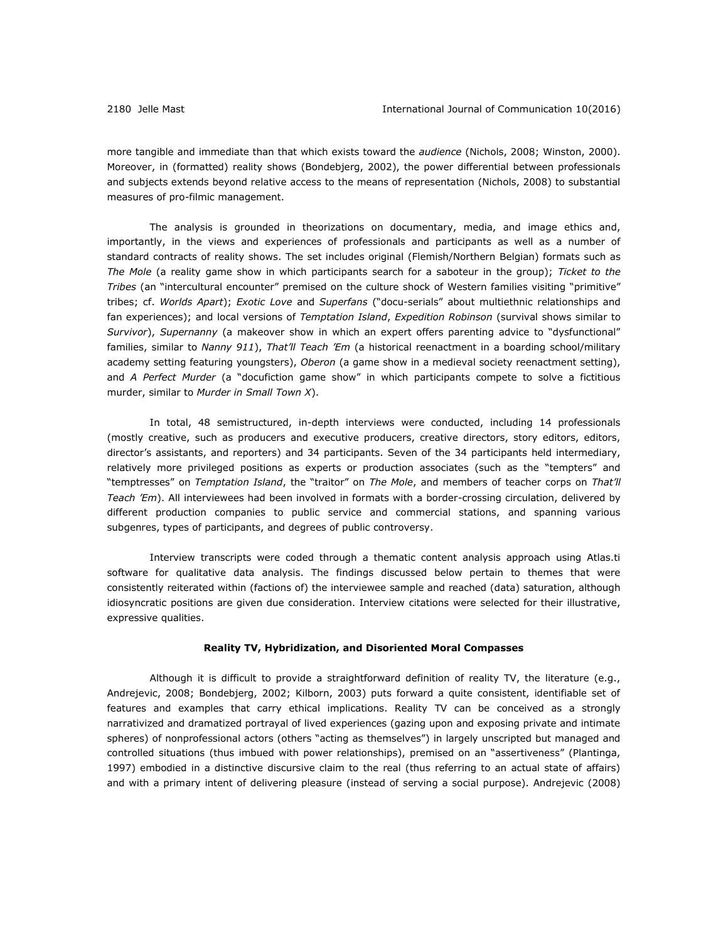more tangible and immediate than that which exists toward the *audience* (Nichols, 2008; Winston, 2000). Moreover, in (formatted) reality shows (Bondebjerg, 2002), the power differential between professionals and subjects extends beyond relative access to the means of representation (Nichols, 2008) to substantial measures of pro-filmic management.

The analysis is grounded in theorizations on documentary, media, and image ethics and, importantly, in the views and experiences of professionals and participants as well as a number of standard contracts of reality shows. The set includes original (Flemish/Northern Belgian) formats such as *The Mole* (a reality game show in which participants search for a saboteur in the group); *Ticket to the Tribes* (an "intercultural encounter" premised on the culture shock of Western families visiting "primitive" tribes; cf. *Worlds Apart*); *Exotic Love* and *Superfans* ("docu-serials" about multiethnic relationships and fan experiences); and local versions of *Temptation Island*, *Expedition Robinson* (survival shows similar to *Survivor*), *Supernanny* (a makeover show in which an expert offers parenting advice to "dysfunctional" families, similar to *Nanny 911*), *That'll Teach 'Em* (a historical reenactment in a boarding school/military academy setting featuring youngsters), *Oberon* (a game show in a medieval society reenactment setting), and *A Perfect Murder* (a "docufiction game show" in which participants compete to solve a fictitious murder, similar to *Murder in Small Town X*).

In total, 48 semistructured, in-depth interviews were conducted, including 14 professionals (mostly creative, such as producers and executive producers, creative directors, story editors, editors, director's assistants, and reporters) and 34 participants. Seven of the 34 participants held intermediary, relatively more privileged positions as experts or production associates (such as the "tempters" and "temptresses" on *Temptation Island*, the "traitor" on *The Mole*, and members of teacher corps on *That'll Teach 'Em*). All interviewees had been involved in formats with a border-crossing circulation, delivered by different production companies to public service and commercial stations, and spanning various subgenres, types of participants, and degrees of public controversy.

Interview transcripts were coded through a thematic content analysis approach using Atlas.ti software for qualitative data analysis. The findings discussed below pertain to themes that were consistently reiterated within (factions of) the interviewee sample and reached (data) saturation, although idiosyncratic positions are given due consideration. Interview citations were selected for their illustrative, expressive qualities.

## **Reality TV, Hybridization, and Disoriented Moral Compasses**

Although it is difficult to provide a straightforward definition of reality TV, the literature (e.g., Andrejevic, 2008; Bondebjerg, 2002; Kilborn, 2003) puts forward a quite consistent, identifiable set of features and examples that carry ethical implications. Reality TV can be conceived as a strongly narrativized and dramatized portrayal of lived experiences (gazing upon and exposing private and intimate spheres) of nonprofessional actors (others "acting as themselves") in largely unscripted but managed and controlled situations (thus imbued with power relationships), premised on an "assertiveness" (Plantinga, 1997) embodied in a distinctive discursive claim to the real (thus referring to an actual state of affairs) and with a primary intent of delivering pleasure (instead of serving a social purpose). Andrejevic (2008)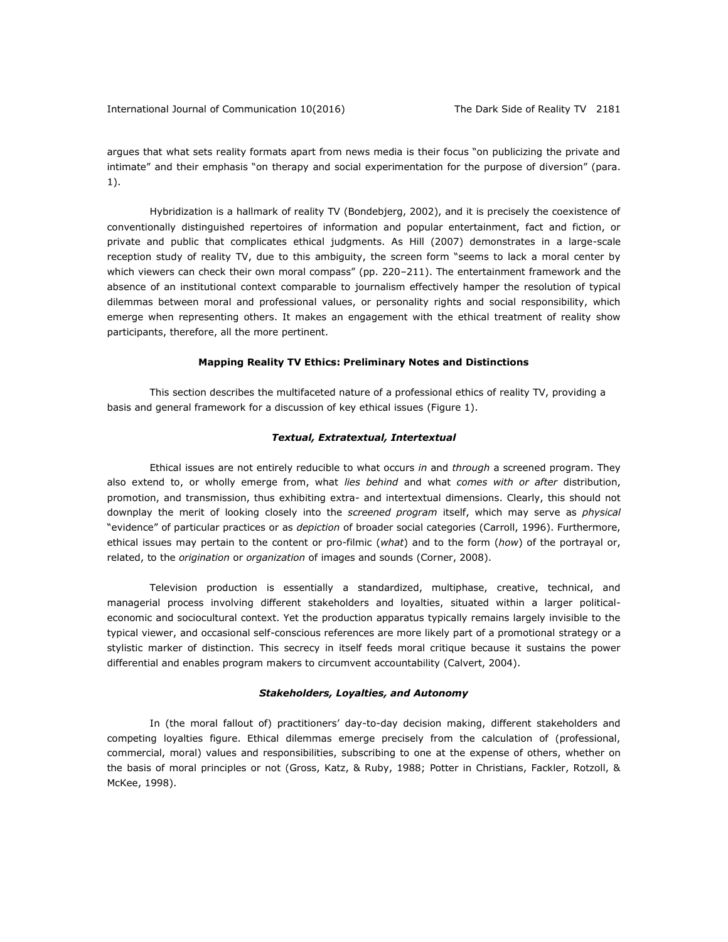argues that what sets reality formats apart from news media is their focus "on publicizing the private and intimate" and their emphasis "on therapy and social experimentation for the purpose of diversion" (para. 1).

Hybridization is a hallmark of reality TV (Bondebjerg, 2002), and it is precisely the coexistence of conventionally distinguished repertoires of information and popular entertainment, fact and fiction, or private and public that complicates ethical judgments. As Hill (2007) demonstrates in a large-scale reception study of reality TV, due to this ambiguity, the screen form "seems to lack a moral center by which viewers can check their own moral compass" (pp. 220–211). The entertainment framework and the absence of an institutional context comparable to journalism effectively hamper the resolution of typical dilemmas between moral and professional values, or personality rights and social responsibility, which emerge when representing others. It makes an engagement with the ethical treatment of reality show participants, therefore, all the more pertinent.

#### **Mapping Reality TV Ethics: Preliminary Notes and Distinctions**

This section describes the multifaceted nature of a professional ethics of reality TV, providing a basis and general framework for a discussion of key ethical issues (Figure 1).

## *Textual, Extratextual, Intertextual*

Ethical issues are not entirely reducible to what occurs *in* and *through* a screened program. They also extend to, or wholly emerge from, what *lies behind* and what *comes with or after* distribution, promotion, and transmission, thus exhibiting extra- and intertextual dimensions. Clearly, this should not downplay the merit of looking closely into the *screened program* itself, which may serve as *physical*  "evidence" of particular practices or as *depiction* of broader social categories (Carroll, 1996). Furthermore, ethical issues may pertain to the content or pro-filmic (*what*) and to the form (*how*) of the portrayal or, related, to the *origination* or *organization* of images and sounds (Corner, 2008).

Television production is essentially a standardized, multiphase, creative, technical, and managerial process involving different stakeholders and loyalties, situated within a larger politicaleconomic and sociocultural context. Yet the production apparatus typically remains largely invisible to the typical viewer, and occasional self-conscious references are more likely part of a promotional strategy or a stylistic marker of distinction. This secrecy in itself feeds moral critique because it sustains the power differential and enables program makers to circumvent accountability (Calvert, 2004).

## *Stakeholders, Loyalties, and Autonomy*

In (the moral fallout of) practitioners' day-to-day decision making, different stakeholders and competing loyalties figure. Ethical dilemmas emerge precisely from the calculation of (professional, commercial, moral) values and responsibilities, subscribing to one at the expense of others, whether on the basis of moral principles or not (Gross, Katz, & Ruby, 1988; Potter in Christians, Fackler, Rotzoll, & McKee, 1998).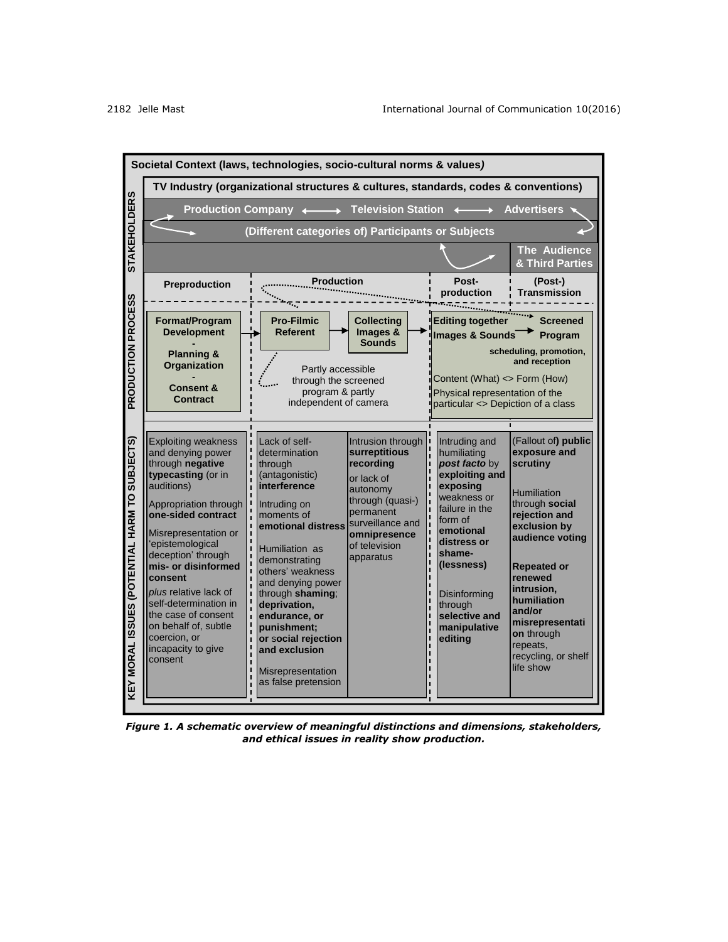

*Figure 1. A schematic overview of meaningful distinctions and dimensions, stakeholders, and ethical issues in reality show production.*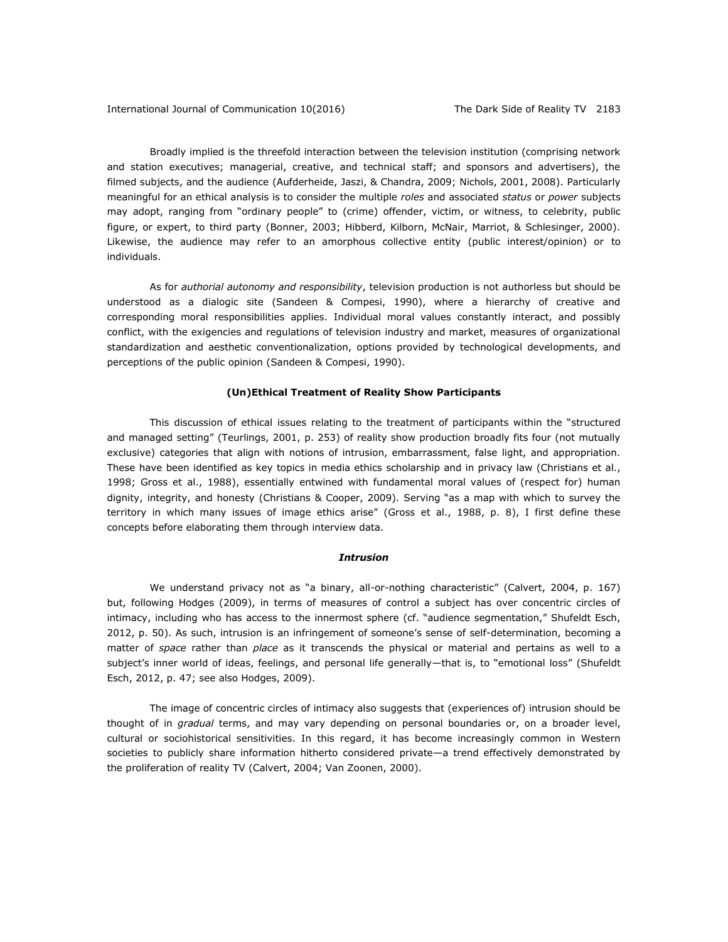Broadly implied is the threefold interaction between the television institution (comprising network and station executives; managerial, creative, and technical staff; and sponsors and advertisers), the filmed subjects, and the audience (Aufderheide, Jaszi, & Chandra, 2009; Nichols, 2001, 2008). Particularly meaningful for an ethical analysis is to consider the multiple *roles* and associated *status* or *power* subjects may adopt, ranging from "ordinary people" to (crime) offender, victim, or witness, to celebrity, public figure, or expert, to third party (Bonner, 2003; Hibberd, Kilborn, McNair, Marriot, & Schlesinger, 2000). Likewise, the audience may refer to an amorphous collective entity (public interest/opinion) or to individuals.

As for *authorial autonomy and responsibility*, television production is not authorless but should be understood as a dialogic site (Sandeen & Compesi, 1990), where a hierarchy of creative and corresponding moral responsibilities applies. Individual moral values constantly interact, and possibly conflict, with the exigencies and regulations of television industry and market, measures of organizational standardization and aesthetic conventionalization, options provided by technological developments, and perceptions of the public opinion (Sandeen & Compesi, 1990).

## **(Un)Ethical Treatment of Reality Show Participants**

This discussion of ethical issues relating to the treatment of participants within the "structured and managed setting" (Teurlings, 2001, p. 253) of reality show production broadly fits four (not mutually exclusive) categories that align with notions of intrusion, embarrassment, false light, and appropriation. These have been identified as key topics in media ethics scholarship and in privacy law (Christians et al., 1998; Gross et al., 1988), essentially entwined with fundamental moral values of (respect for) human dignity, integrity, and honesty (Christians & Cooper, 2009). Serving "as a map with which to survey the territory in which many issues of image ethics arise" (Gross et al., 1988, p. 8), I first define these concepts before elaborating them through interview data.

## *Intrusion*

We understand privacy not as "a binary, all-or-nothing characteristic" (Calvert, 2004, p. 167) but, following Hodges (2009), in terms of measures of control a subject has over concentric circles of intimacy, including who has access to the innermost sphere (cf. "audience segmentation," Shufeldt Esch, 2012, p. 50). As such, intrusion is an infringement of someone's sense of self-determination, becoming a matter of *space* rather than *place* as it transcends the physical or material and pertains as well to a subject's inner world of ideas, feelings, and personal life generally—that is, to "emotional loss" (Shufeldt Esch, 2012, p. 47; see also Hodges, 2009).

The image of concentric circles of intimacy also suggests that (experiences of) intrusion should be thought of in *gradual* terms, and may vary depending on personal boundaries or, on a broader level, cultural or sociohistorical sensitivities. In this regard, it has become increasingly common in Western societies to publicly share information hitherto considered private—a trend effectively demonstrated by the proliferation of reality TV (Calvert, 2004; Van Zoonen, 2000).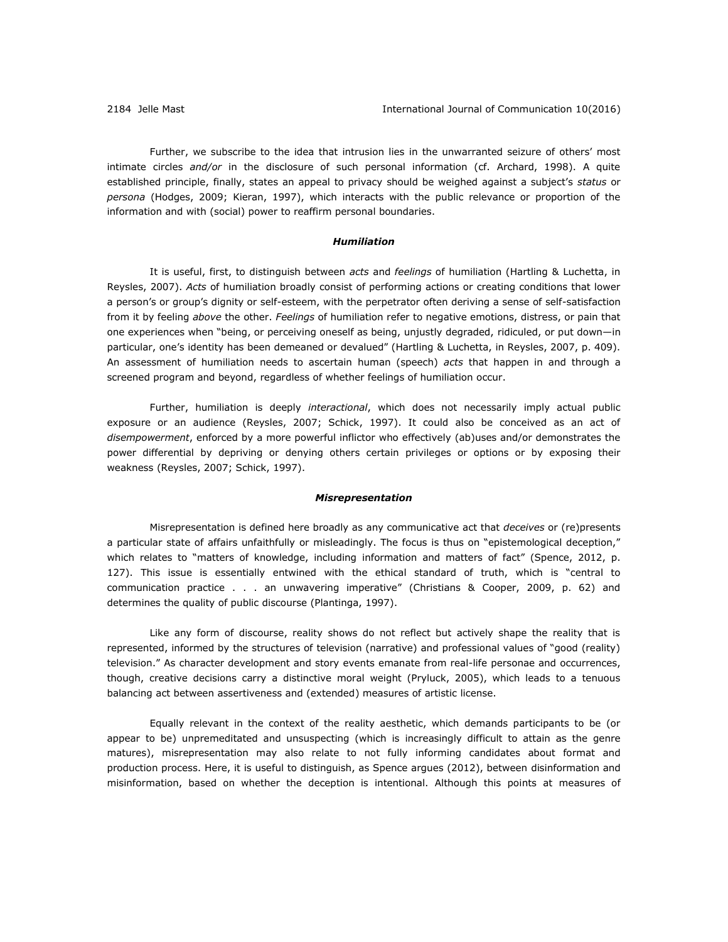Further, we subscribe to the idea that intrusion lies in the unwarranted seizure of others' most intimate circles *and/or* in the disclosure of such personal information (cf. Archard, 1998). A quite established principle, finally, states an appeal to privacy should be weighed against a subject's *status* or *persona* (Hodges, 2009; Kieran, 1997), which interacts with the public relevance or proportion of the information and with (social) power to reaffirm personal boundaries.

## *Humiliation*

It is useful, first, to distinguish between *acts* and *feelings* of humiliation (Hartling & Luchetta, in Reysles, 2007). *Acts* of humiliation broadly consist of performing actions or creating conditions that lower a person's or group's dignity or self-esteem, with the perpetrator often deriving a sense of self-satisfaction from it by feeling *above* the other. *Feelings* of humiliation refer to negative emotions, distress, or pain that one experiences when "being, or perceiving oneself as being, unjustly degraded, ridiculed, or put down—in particular, one's identity has been demeaned or devalued" (Hartling & Luchetta, in Reysles, 2007, p. 409). An assessment of humiliation needs to ascertain human (speech) *acts* that happen in and through a screened program and beyond, regardless of whether feelings of humiliation occur.

Further, humiliation is deeply *interactional*, which does not necessarily imply actual public exposure or an audience (Reysles, 2007; Schick, 1997). It could also be conceived as an act of *disempowerment*, enforced by a more powerful inflictor who effectively (ab)uses and/or demonstrates the power differential by depriving or denying others certain privileges or options or by exposing their weakness (Reysles, 2007; Schick, 1997).

#### *Misrepresentation*

Misrepresentation is defined here broadly as any communicative act that *deceives* or (re)presents a particular state of affairs unfaithfully or misleadingly. The focus is thus on "epistemological deception," which relates to "matters of knowledge, including information and matters of fact" (Spence, 2012, p. 127). This issue is essentially entwined with the ethical standard of truth, which is "central to communication practice . . . an unwavering imperative" (Christians & Cooper, 2009, p. 62) and determines the quality of public discourse (Plantinga, 1997).

Like any form of discourse, reality shows do not reflect but actively shape the reality that is represented, informed by the structures of television (narrative) and professional values of "good (reality) television." As character development and story events emanate from real-life personae and occurrences, though, creative decisions carry a distinctive moral weight (Pryluck, 2005), which leads to a tenuous balancing act between assertiveness and (extended) measures of artistic license.

Equally relevant in the context of the reality aesthetic, which demands participants to be (or appear to be) unpremeditated and unsuspecting (which is increasingly difficult to attain as the genre matures), misrepresentation may also relate to not fully informing candidates about format and production process. Here, it is useful to distinguish, as Spence argues (2012), between disinformation and misinformation, based on whether the deception is intentional. Although this points at measures of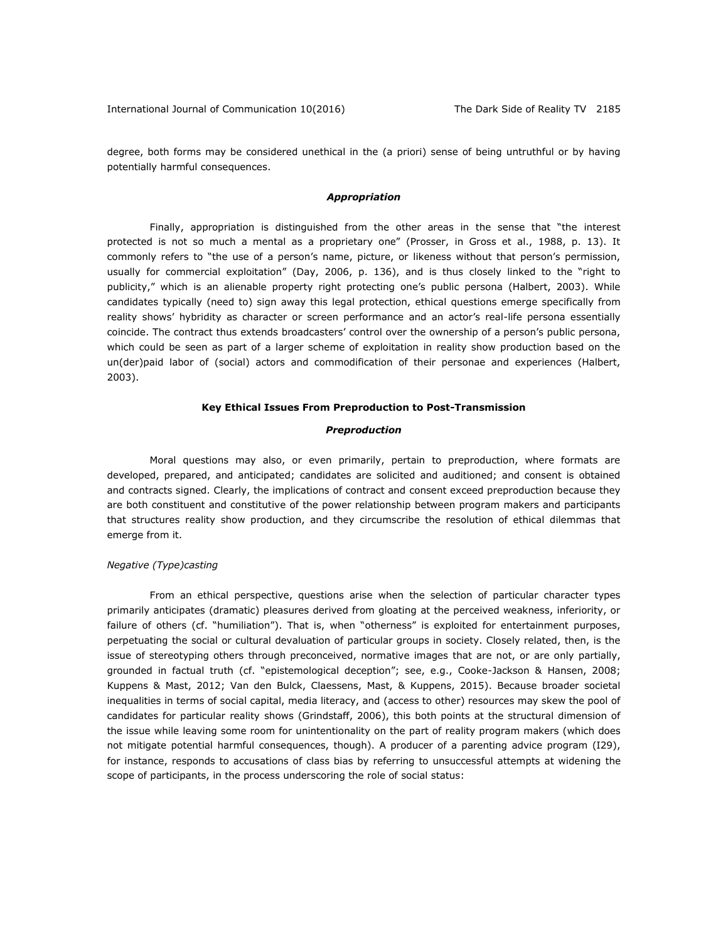degree, both forms may be considered unethical in the (a priori) sense of being untruthful or by having potentially harmful consequences.

## *Appropriation*

Finally, appropriation is distinguished from the other areas in the sense that "the interest protected is not so much a mental as a proprietary one" (Prosser, in Gross et al., 1988, p. 13). It commonly refers to "the use of a person's name, picture, or likeness without that person's permission, usually for commercial exploitation" (Day, 2006, p. 136), and is thus closely linked to the "right to publicity," which is an alienable property right protecting one's public persona (Halbert, 2003). While candidates typically (need to) sign away this legal protection, ethical questions emerge specifically from reality shows' hybridity as character or screen performance and an actor's real-life persona essentially coincide. The contract thus extends broadcasters' control over the ownership of a person's public persona, which could be seen as part of a larger scheme of exploitation in reality show production based on the un(der)paid labor of (social) actors and commodification of their personae and experiences (Halbert, 2003).

## **Key Ethical Issues From Preproduction to Post-Transmission**

## *Preproduction*

Moral questions may also, or even primarily, pertain to preproduction, where formats are developed, prepared, and anticipated; candidates are solicited and auditioned; and consent is obtained and contracts signed. Clearly, the implications of contract and consent exceed preproduction because they are both constituent and constitutive of the power relationship between program makers and participants that structures reality show production, and they circumscribe the resolution of ethical dilemmas that emerge from it.

## *Negative (Type)casting*

From an ethical perspective, questions arise when the selection of particular character types primarily anticipates (dramatic) pleasures derived from gloating at the perceived weakness, inferiority, or failure of others (cf. "humiliation"). That is, when "otherness" is exploited for entertainment purposes, perpetuating the social or cultural devaluation of particular groups in society. Closely related, then, is the issue of stereotyping others through preconceived, normative images that are not, or are only partially, grounded in factual truth (cf. "epistemological deception"; see, e.g., Cooke-Jackson & Hansen, 2008; Kuppens & Mast, 2012; Van den Bulck, Claessens, Mast, & Kuppens, 2015). Because broader societal inequalities in terms of social capital, media literacy, and (access to other) resources may skew the pool of candidates for particular reality shows (Grindstaff, 2006), this both points at the structural dimension of the issue while leaving some room for unintentionality on the part of reality program makers (which does not mitigate potential harmful consequences, though). A producer of a parenting advice program (I29), for instance, responds to accusations of class bias by referring to unsuccessful attempts at widening the scope of participants, in the process underscoring the role of social status: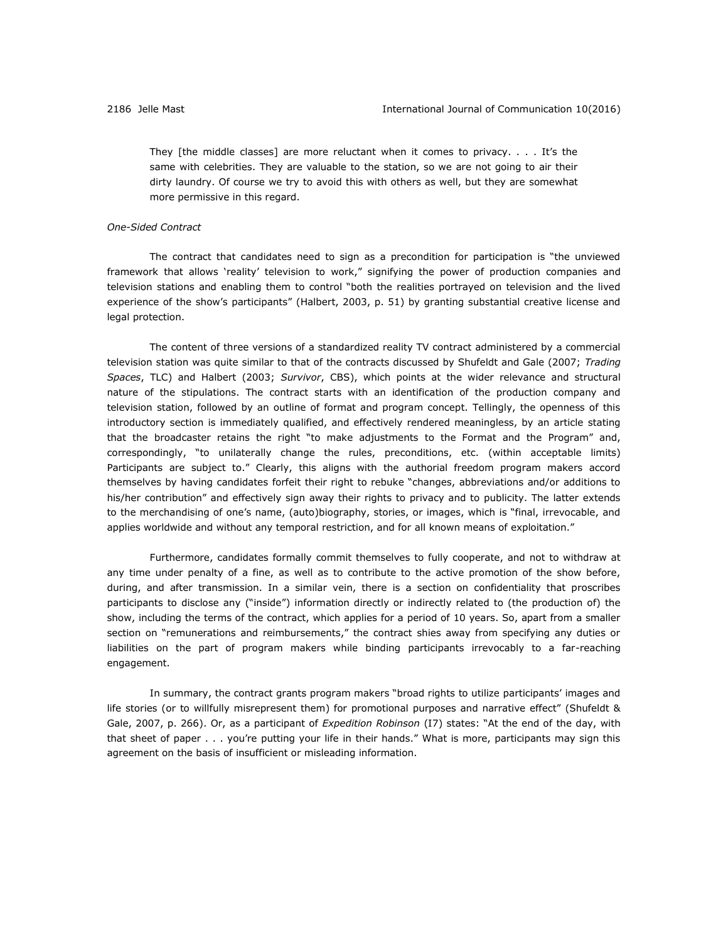They [the middle classes] are more reluctant when it comes to privacy. . . . It's the same with celebrities. They are valuable to the station, so we are not going to air their dirty laundry. Of course we try to avoid this with others as well, but they are somewhat more permissive in this regard.

#### *One-Sided Contract*

The contract that candidates need to sign as a precondition for participation is "the unviewed framework that allows 'reality' television to work," signifying the power of production companies and television stations and enabling them to control "both the realities portrayed on television and the lived experience of the show's participants" (Halbert, 2003, p. 51) by granting substantial creative license and legal protection.

The content of three versions of a standardized reality TV contract administered by a commercial television station was quite similar to that of the contracts discussed by Shufeldt and Gale (2007; *Trading Spaces*, TLC) and Halbert (2003; *Survivor*, CBS), which points at the wider relevance and structural nature of the stipulations. The contract starts with an identification of the production company and television station, followed by an outline of format and program concept. Tellingly, the openness of this introductory section is immediately qualified, and effectively rendered meaningless, by an article stating that the broadcaster retains the right "to make adjustments to the Format and the Program" and, correspondingly, "to unilaterally change the rules, preconditions, etc. (within acceptable limits) Participants are subject to." Clearly, this aligns with the authorial freedom program makers accord themselves by having candidates forfeit their right to rebuke "changes, abbreviations and/or additions to his/her contribution" and effectively sign away their rights to privacy and to publicity. The latter extends to the merchandising of one's name, (auto)biography, stories, or images, which is "final, irrevocable, and applies worldwide and without any temporal restriction, and for all known means of exploitation."

Furthermore, candidates formally commit themselves to fully cooperate, and not to withdraw at any time under penalty of a fine, as well as to contribute to the active promotion of the show before, during, and after transmission. In a similar vein, there is a section on confidentiality that proscribes participants to disclose any ("inside") information directly or indirectly related to (the production of) the show, including the terms of the contract, which applies for a period of 10 years. So, apart from a smaller section on "remunerations and reimbursements," the contract shies away from specifying any duties or liabilities on the part of program makers while binding participants irrevocably to a far-reaching engagement.

In summary, the contract grants program makers "broad rights to utilize participants' images and life stories (or to willfully misrepresent them) for promotional purposes and narrative effect" (Shufeldt & Gale, 2007, p. 266). Or, as a participant of *Expedition Robinson* (I7) states: "At the end of the day, with that sheet of paper . . . you're putting your life in their hands." What is more, participants may sign this agreement on the basis of insufficient or misleading information.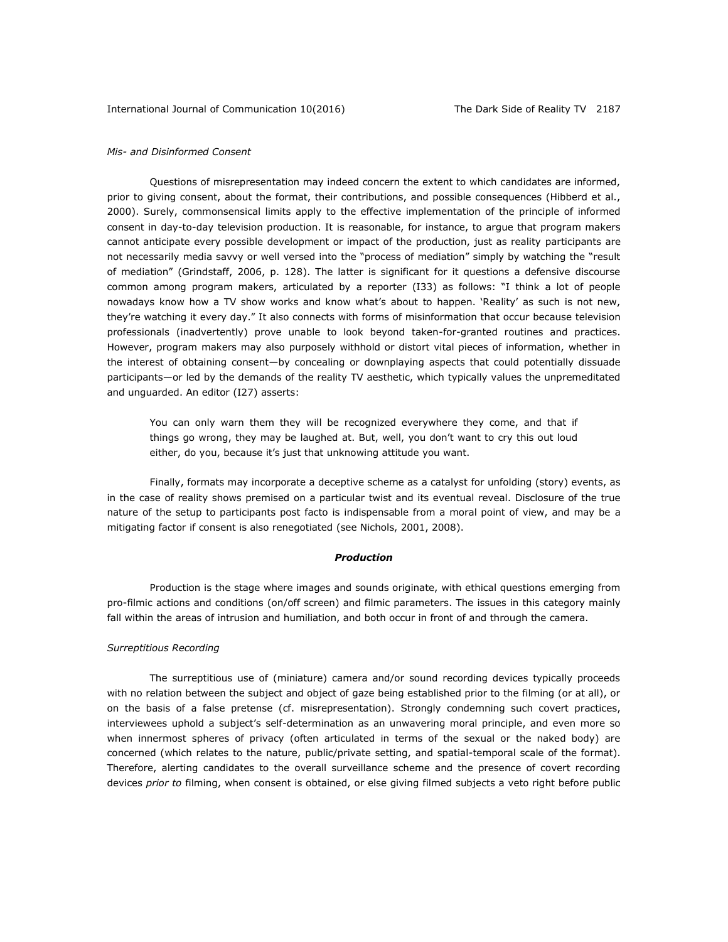## *Mis- and Disinformed Consent*

Questions of misrepresentation may indeed concern the extent to which candidates are informed, prior to giving consent, about the format, their contributions, and possible consequences (Hibberd et al., 2000). Surely, commonsensical limits apply to the effective implementation of the principle of informed consent in day-to-day television production. It is reasonable, for instance, to argue that program makers cannot anticipate every possible development or impact of the production, just as reality participants are not necessarily media savvy or well versed into the "process of mediation" simply by watching the "result of mediation" (Grindstaff, 2006, p. 128). The latter is significant for it questions a defensive discourse common among program makers, articulated by a reporter (I33) as follows: "I think a lot of people nowadays know how a TV show works and know what's about to happen. 'Reality' as such is not new, they're watching it every day." It also connects with forms of misinformation that occur because television professionals (inadvertently) prove unable to look beyond taken-for-granted routines and practices. However, program makers may also purposely withhold or distort vital pieces of information, whether in the interest of obtaining consent—by concealing or downplaying aspects that could potentially dissuade participants—or led by the demands of the reality TV aesthetic, which typically values the unpremeditated and unguarded. An editor (I27) asserts:

You can only warn them they will be recognized everywhere they come, and that if things go wrong, they may be laughed at. But, well, you don't want to cry this out loud either, do you, because it's just that unknowing attitude you want.

Finally, formats may incorporate a deceptive scheme as a catalyst for unfolding (story) events, as in the case of reality shows premised on a particular twist and its eventual reveal. Disclosure of the true nature of the setup to participants post facto is indispensable from a moral point of view, and may be a mitigating factor if consent is also renegotiated (see Nichols, 2001, 2008).

#### *Production*

Production is the stage where images and sounds originate, with ethical questions emerging from pro-filmic actions and conditions (on/off screen) and filmic parameters. The issues in this category mainly fall within the areas of intrusion and humiliation, and both occur in front of and through the camera.

## *Surreptitious Recording*

The surreptitious use of (miniature) camera and/or sound recording devices typically proceeds with no relation between the subject and object of gaze being established prior to the filming (or at all), or on the basis of a false pretense (cf. misrepresentation). Strongly condemning such covert practices, interviewees uphold a subject's self-determination as an unwavering moral principle, and even more so when innermost spheres of privacy (often articulated in terms of the sexual or the naked body) are concerned (which relates to the nature, public/private setting, and spatial-temporal scale of the format). Therefore, alerting candidates to the overall surveillance scheme and the presence of covert recording devices *prior to* filming, when consent is obtained, or else giving filmed subjects a veto right before public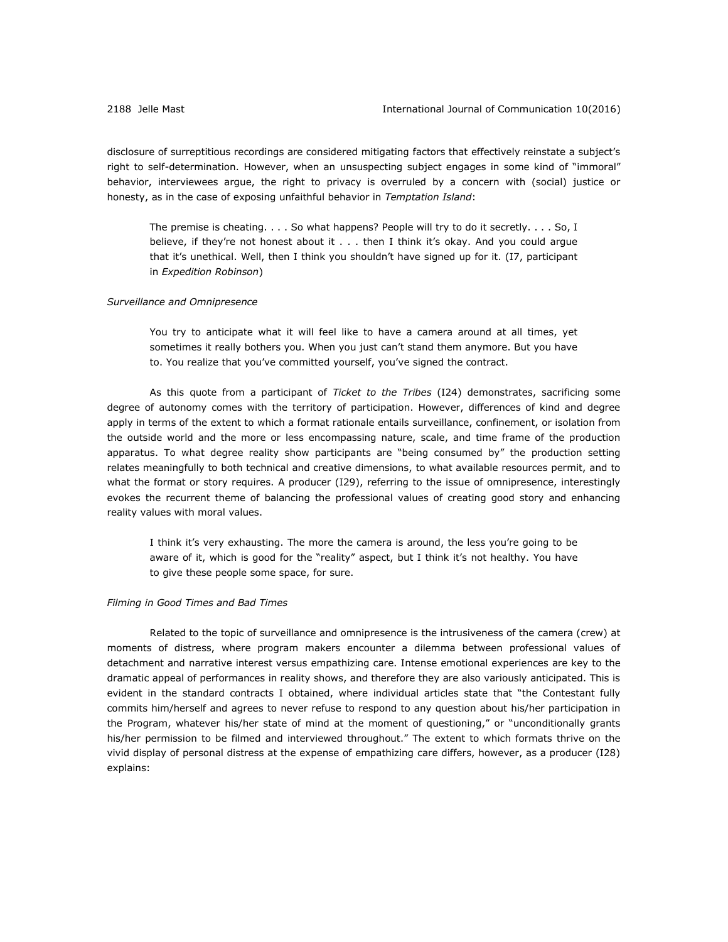disclosure of surreptitious recordings are considered mitigating factors that effectively reinstate a subject's right to self-determination. However, when an unsuspecting subject engages in some kind of "immoral" behavior, interviewees argue, the right to privacy is overruled by a concern with (social) justice or honesty, as in the case of exposing unfaithful behavior in *Temptation Island*:

The premise is cheating. . . . So what happens? People will try to do it secretly. . . . So, I believe, if they're not honest about it . . . then I think it's okay. And you could argue that it's unethical. Well, then I think you shouldn't have signed up for it. (I7, participant in *Expedition Robinson*)

## *Surveillance and Omnipresence*

You try to anticipate what it will feel like to have a camera around at all times, yet sometimes it really bothers you. When you just can't stand them anymore. But you have to. You realize that you've committed yourself, you've signed the contract.

As this quote from a participant of *Ticket to the Tribes* (I24) demonstrates, sacrificing some degree of autonomy comes with the territory of participation. However, differences of kind and degree apply in terms of the extent to which a format rationale entails surveillance, confinement, or isolation from the outside world and the more or less encompassing nature, scale, and time frame of the production apparatus. To what degree reality show participants are "being consumed by" the production setting relates meaningfully to both technical and creative dimensions, to what available resources permit, and to what the format or story requires. A producer (I29), referring to the issue of omnipresence, interestingly evokes the recurrent theme of balancing the professional values of creating good story and enhancing reality values with moral values.

I think it's very exhausting. The more the camera is around, the less you're going to be aware of it, which is good for the "reality" aspect, but I think it's not healthy. You have to give these people some space, for sure.

## *Filming in Good Times and Bad Times*

Related to the topic of surveillance and omnipresence is the intrusiveness of the camera (crew) at moments of distress, where program makers encounter a dilemma between professional values of detachment and narrative interest versus empathizing care. Intense emotional experiences are key to the dramatic appeal of performances in reality shows, and therefore they are also variously anticipated. This is evident in the standard contracts I obtained, where individual articles state that "the Contestant fully commits him/herself and agrees to never refuse to respond to any question about his/her participation in the Program, whatever his/her state of mind at the moment of questioning," or "unconditionally grants his/her permission to be filmed and interviewed throughout." The extent to which formats thrive on the vivid display of personal distress at the expense of empathizing care differs, however, as a producer (I28) explains: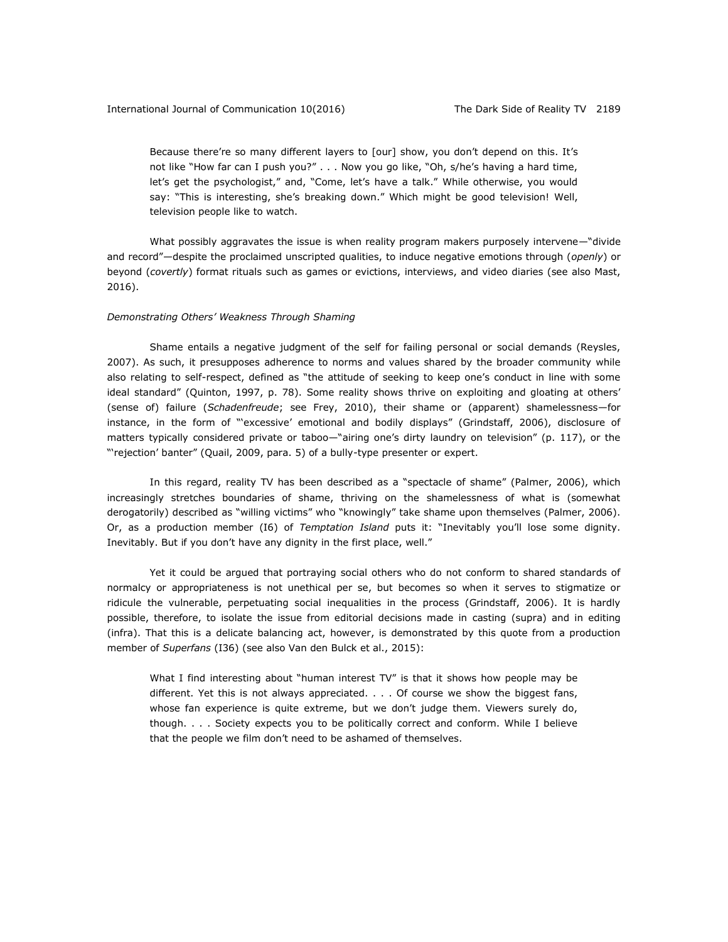Because there're so many different layers to [our] show, you don't depend on this. It's not like "How far can I push you?" . . . Now you go like, "Oh, s/he's having a hard time, let's get the psychologist," and, "Come, let's have a talk." While otherwise, you would say: "This is interesting, she's breaking down." Which might be good television! Well, television people like to watch.

What possibly aggravates the issue is when reality program makers purposely intervene*—*"divide and record"*—*despite the proclaimed unscripted qualities, to induce negative emotions through (*openly*) or beyond (*covertly*) format rituals such as games or evictions, interviews, and video diaries (see also Mast, 2016).

## *Demonstrating Others' Weakness Through Shaming*

Shame entails a negative judgment of the self for failing personal or social demands (Reysles, 2007). As such, it presupposes adherence to norms and values shared by the broader community while also relating to self-respect, defined as "the attitude of seeking to keep one's conduct in line with some ideal standard" (Quinton, 1997, p. 78). Some reality shows thrive on exploiting and gloating at others' (sense of) failure (*Schadenfreude*; see Frey, 2010), their shame or (apparent) shamelessness—for instance, in the form of "'excessive' emotional and bodily displays" (Grindstaff, 2006), disclosure of matters typically considered private or taboo-"airing one's dirty laundry on television" (p. 117), or the "'rejection' banter" (Quail, 2009, para. 5) of a bully-type presenter or expert.

In this regard, reality TV has been described as a "spectacle of shame" (Palmer, 2006), which increasingly stretches boundaries of shame, thriving on the shamelessness of what is (somewhat derogatorily) described as "willing victims" who "knowingly" take shame upon themselves (Palmer, 2006). Or, as a production member (I6) of *Temptation Island* puts it: "Inevitably you'll lose some dignity. Inevitably. But if you don't have any dignity in the first place, well."

Yet it could be argued that portraying social others who do not conform to shared standards of normalcy or appropriateness is not unethical per se, but becomes so when it serves to stigmatize or ridicule the vulnerable, perpetuating social inequalities in the process (Grindstaff, 2006). It is hardly possible, therefore, to isolate the issue from editorial decisions made in casting (supra) and in editing (infra). That this is a delicate balancing act, however, is demonstrated by this quote from a production member of *Superfans* (I36) (see also Van den Bulck et al., 2015):

What I find interesting about "human interest TV" is that it shows how people may be different. Yet this is not always appreciated. . . . Of course we show the biggest fans, whose fan experience is quite extreme, but we don't judge them. Viewers surely do, though. . . . Society expects you to be politically correct and conform. While I believe that the people we film don't need to be ashamed of themselves.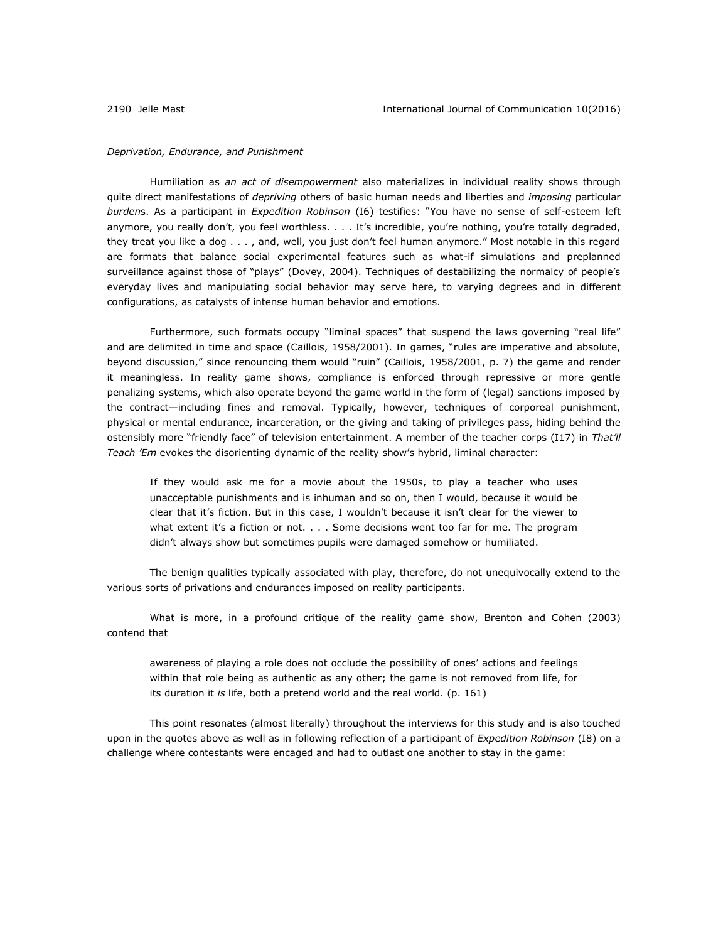#### *Deprivation, Endurance, and Punishment*

Humiliation as *an act of disempowerment* also materializes in individual reality shows through quite direct manifestations of *depriving* others of basic human needs and liberties and *imposing* particular *burden*s. As a participant in *Expedition Robinson* (I6) testifies: "You have no sense of self-esteem left anymore, you really don't, you feel worthless. . . . It's incredible, you're nothing, you're totally degraded, they treat you like a dog . . . , and, well, you just don't feel human anymore." Most notable in this regard are formats that balance social experimental features such as what-if simulations and preplanned surveillance against those of "plays" (Dovey, 2004). Techniques of destabilizing the normalcy of people's everyday lives and manipulating social behavior may serve here, to varying degrees and in different configurations, as catalysts of intense human behavior and emotions.

Furthermore, such formats occupy "liminal spaces" that suspend the laws governing "real life" and are delimited in time and space (Caillois, 1958/2001). In games, "rules are imperative and absolute, beyond discussion," since renouncing them would "ruin" (Caillois, 1958/2001, p. 7) the game and render it meaningless. In reality game shows, compliance is enforced through repressive or more gentle penalizing systems, which also operate beyond the game world in the form of (legal) sanctions imposed by the contract—including fines and removal. Typically, however, techniques of corporeal punishment, physical or mental endurance, incarceration, or the giving and taking of privileges pass, hiding behind the ostensibly more "friendly face" of television entertainment. A member of the teacher corps (I17) in *That'll Teach 'Em* evokes the disorienting dynamic of the reality show's hybrid, liminal character:

If they would ask me for a movie about the 1950s, to play a teacher who uses unacceptable punishments and is inhuman and so on, then I would, because it would be clear that it's fiction. But in this case, I wouldn't because it isn't clear for the viewer to what extent it's a fiction or not. . . . Some decisions went too far for me. The program didn't always show but sometimes pupils were damaged somehow or humiliated.

The benign qualities typically associated with play, therefore, do not unequivocally extend to the various sorts of privations and endurances imposed on reality participants.

What is more, in a profound critique of the reality game show, Brenton and Cohen (2003) contend that

awareness of playing a role does not occlude the possibility of ones' actions and feelings within that role being as authentic as any other; the game is not removed from life, for its duration it *is* life, both a pretend world and the real world. (p. 161)

This point resonates (almost literally) throughout the interviews for this study and is also touched upon in the quotes above as well as in following reflection of a participant of *Expedition Robinson* (I8) on a challenge where contestants were encaged and had to outlast one another to stay in the game: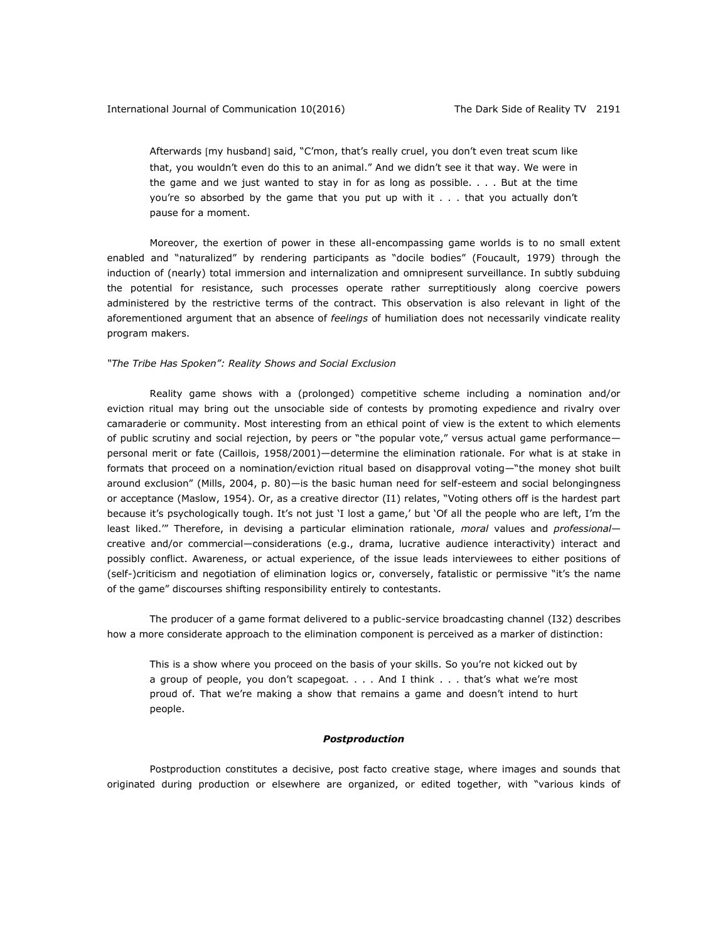Afterwards [my husband] said, "C'mon, that's really cruel, you don't even treat scum like that, you wouldn't even do this to an animal." And we didn't see it that way. We were in the game and we just wanted to stay in for as long as possible. . . . But at the time you're so absorbed by the game that you put up with it . . . that you actually don't pause for a moment.

Moreover, the exertion of power in these all-encompassing game worlds is to no small extent enabled and "naturalized" by rendering participants as "docile bodies" (Foucault, 1979) through the induction of (nearly) total immersion and internalization and omnipresent surveillance. In subtly subduing the potential for resistance, such processes operate rather surreptitiously along coercive powers administered by the restrictive terms of the contract. This observation is also relevant in light of the aforementioned argument that an absence of *feelings* of humiliation does not necessarily vindicate reality program makers.

## *"The Tribe Has Spoken": Reality Shows and Social Exclusion*

Reality game shows with a (prolonged) competitive scheme including a nomination and/or eviction ritual may bring out the unsociable side of contests by promoting expedience and rivalry over camaraderie or community. Most interesting from an ethical point of view is the extent to which elements of public scrutiny and social rejection, by peers or "the popular vote," versus actual game performance personal merit or fate (Caillois, 1958/2001)—determine the elimination rationale. For what is at stake in formats that proceed on a nomination/eviction ritual based on disapproval voting—"the money shot built around exclusion" (Mills, 2004, p. 80)—is the basic human need for self-esteem and social belongingness or acceptance (Maslow, 1954). Or, as a creative director (I1) relates, "Voting others off is the hardest part because it's psychologically tough. It's not just 'I lost a game,' but 'Of all the people who are left, I'm the least liked.'" Therefore, in devising a particular elimination rationale, *moral* values and *professional* creative and/or commercial—considerations (e.g., drama, lucrative audience interactivity) interact and possibly conflict. Awareness, or actual experience, of the issue leads interviewees to either positions of (self-)criticism and negotiation of elimination logics or, conversely, fatalistic or permissive "it's the name of the game" discourses shifting responsibility entirely to contestants.

The producer of a game format delivered to a public-service broadcasting channel (I32) describes how a more considerate approach to the elimination component is perceived as a marker of distinction:

This is a show where you proceed on the basis of your skills. So you're not kicked out by a group of people, you don't scapegoat. . . . And I think . . . that's what we're most proud of. That we're making a show that remains a game and doesn't intend to hurt people.

## *Postproduction*

Postproduction constitutes a decisive, post facto creative stage, where images and sounds that originated during production or elsewhere are organized, or edited together, with "various kinds of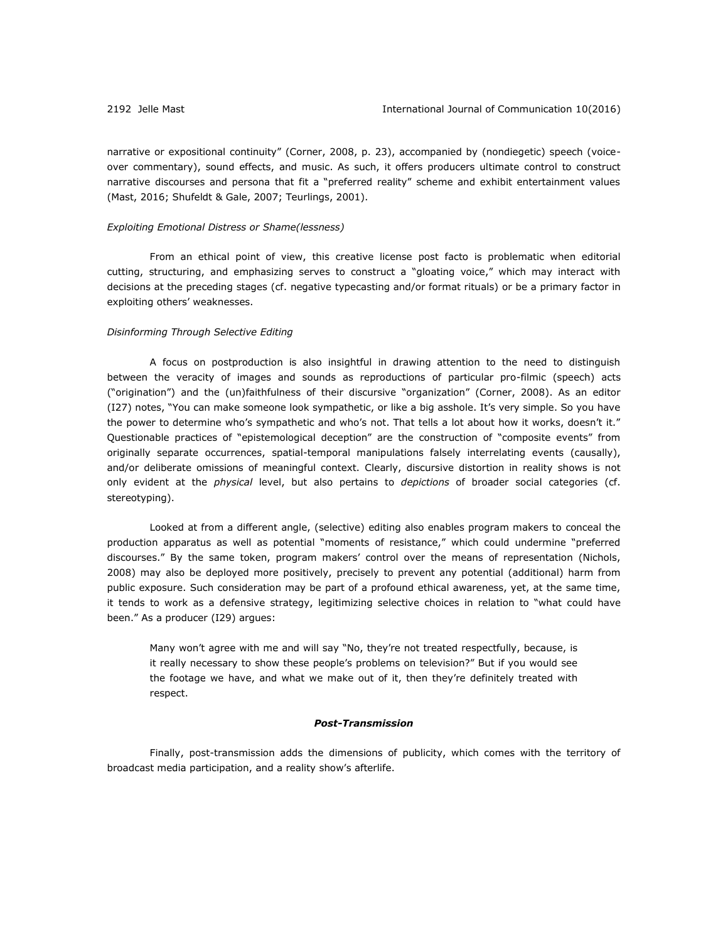narrative or expositional continuity" (Corner, 2008, p. 23), accompanied by (nondiegetic) speech (voiceover commentary), sound effects, and music. As such, it offers producers ultimate control to construct narrative discourses and persona that fit a "preferred reality" scheme and exhibit entertainment values (Mast, 2016; Shufeldt & Gale, 2007; Teurlings, 2001).

## *Exploiting Emotional Distress or Shame(lessness)*

From an ethical point of view, this creative license post facto is problematic when editorial cutting, structuring, and emphasizing serves to construct a "gloating voice," which may interact with decisions at the preceding stages (cf. negative typecasting and/or format rituals) or be a primary factor in exploiting others' weaknesses.

## *Disinforming Through Selective Editing*

A focus on postproduction is also insightful in drawing attention to the need to distinguish between the veracity of images and sounds as reproductions of particular pro-filmic (speech) acts ("origination") and the (un)faithfulness of their discursive "organization" (Corner, 2008). As an editor (I27) notes, "You can make someone look sympathetic, or like a big asshole. It's very simple. So you have the power to determine who's sympathetic and who's not. That tells a lot about how it works, doesn't it." Questionable practices of "epistemological deception" are the construction of "composite events" from originally separate occurrences, spatial-temporal manipulations falsely interrelating events (causally), and/or deliberate omissions of meaningful context. Clearly, discursive distortion in reality shows is not only evident at the *physical* level, but also pertains to *depictions* of broader social categories (cf. stereotyping).

Looked at from a different angle, (selective) editing also enables program makers to conceal the production apparatus as well as potential "moments of resistance," which could undermine "preferred discourses." By the same token, program makers' control over the means of representation (Nichols, 2008) may also be deployed more positively, precisely to prevent any potential (additional) harm from public exposure. Such consideration may be part of a profound ethical awareness, yet, at the same time, it tends to work as a defensive strategy, legitimizing selective choices in relation to "what could have been." As a producer (I29) argues:

Many won't agree with me and will say "No, they're not treated respectfully, because, is it really necessary to show these people's problems on television?" But if you would see the footage we have, and what we make out of it, then they're definitely treated with respect.

## *Post-Transmission*

Finally, post-transmission adds the dimensions of publicity, which comes with the territory of broadcast media participation, and a reality show's afterlife.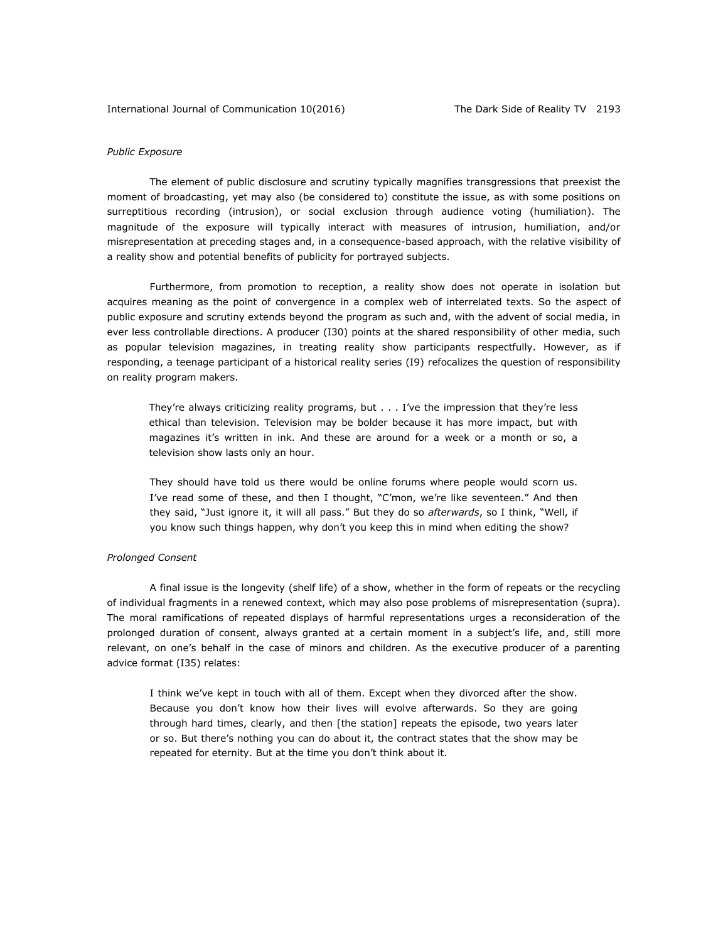## *Public Exposure*

The element of public disclosure and scrutiny typically magnifies transgressions that preexist the moment of broadcasting, yet may also (be considered to) constitute the issue, as with some positions on surreptitious recording (intrusion), or social exclusion through audience voting (humiliation). The magnitude of the exposure will typically interact with measures of intrusion, humiliation, and/or misrepresentation at preceding stages and, in a consequence-based approach, with the relative visibility of a reality show and potential benefits of publicity for portrayed subjects.

Furthermore, from promotion to reception, a reality show does not operate in isolation but acquires meaning as the point of convergence in a complex web of interrelated texts. So the aspect of public exposure and scrutiny extends beyond the program as such and, with the advent of social media, in ever less controllable directions. A producer (I30) points at the shared responsibility of other media, such as popular television magazines, in treating reality show participants respectfully. However, as if responding, a teenage participant of a historical reality series (I9) refocalizes the question of responsibility on reality program makers.

They're always criticizing reality programs, but . . . I've the impression that they're less ethical than television. Television may be bolder because it has more impact, but with magazines it's written in ink. And these are around for a week or a month or so, a television show lasts only an hour.

They should have told us there would be online forums where people would scorn us. I've read some of these, and then I thought, "C'mon, we're like seventeen." And then they said, "Just ignore it, it will all pass." But they do so *afterwards*, so I think, "Well, if you know such things happen, why don't you keep this in mind when editing the show?

## *Prolonged Consent*

A final issue is the longevity (shelf life) of a show, whether in the form of repeats or the recycling of individual fragments in a renewed context, which may also pose problems of misrepresentation (supra). The moral ramifications of repeated displays of harmful representations urges a reconsideration of the prolonged duration of consent, always granted at a certain moment in a subject's life, and, still more relevant, on one's behalf in the case of minors and children. As the executive producer of a parenting advice format (I35) relates:

I think we've kept in touch with all of them. Except when they divorced after the show. Because you don't know how their lives will evolve afterwards. So they are going through hard times, clearly, and then [the station] repeats the episode, two years later or so. But there's nothing you can do about it, the contract states that the show may be repeated for eternity. But at the time you don't think about it.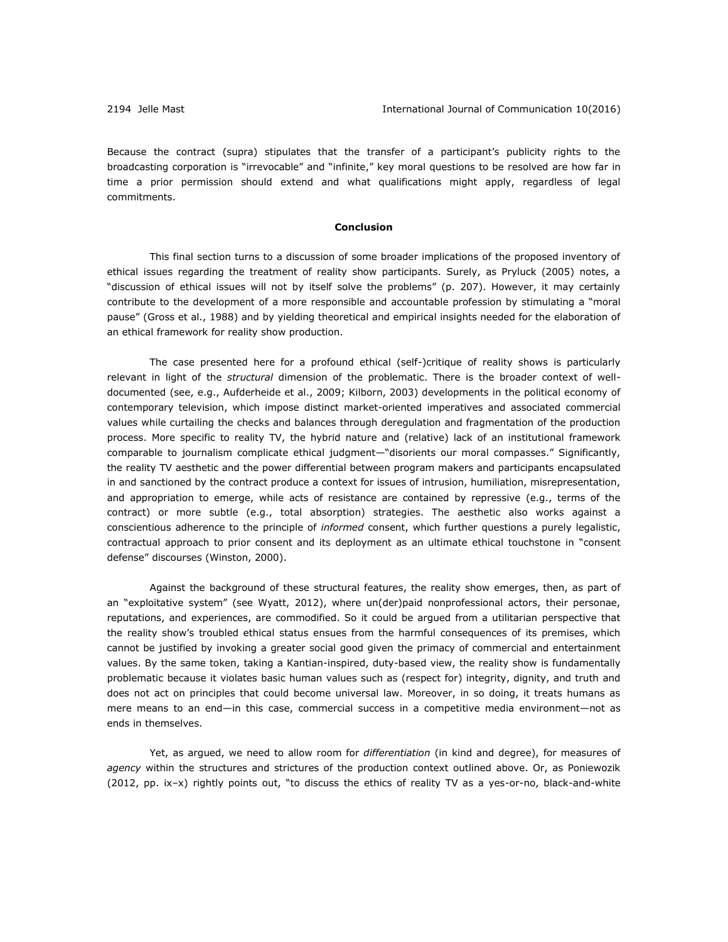Because the contract (supra) stipulates that the transfer of a participant's publicity rights to the broadcasting corporation is "irrevocable" and "infinite," key moral questions to be resolved are how far in time a prior permission should extend and what qualifications might apply, regardless of legal commitments.

## **Conclusion**

This final section turns to a discussion of some broader implications of the proposed inventory of ethical issues regarding the treatment of reality show participants. Surely, as Pryluck (2005) notes, a "discussion of ethical issues will not by itself solve the problems" (p. 207). However, it may certainly contribute to the development of a more responsible and accountable profession by stimulating a "moral pause" (Gross et al., 1988) and by yielding theoretical and empirical insights needed for the elaboration of an ethical framework for reality show production.

The case presented here for a profound ethical (self-)critique of reality shows is particularly relevant in light of the *structural* dimension of the problematic. There is the broader context of welldocumented (see, e.g., Aufderheide et al., 2009; Kilborn, 2003) developments in the political economy of contemporary television, which impose distinct market-oriented imperatives and associated commercial values while curtailing the checks and balances through deregulation and fragmentation of the production process. More specific to reality TV, the hybrid nature and (relative) lack of an institutional framework comparable to journalism complicate ethical judgment—"disorients our moral compasses." Significantly, the reality TV aesthetic and the power differential between program makers and participants encapsulated in and sanctioned by the contract produce a context for issues of intrusion, humiliation, misrepresentation, and appropriation to emerge, while acts of resistance are contained by repressive (e.g., terms of the contract) or more subtle (e.g., total absorption) strategies. The aesthetic also works against a conscientious adherence to the principle of *informed* consent, which further questions a purely legalistic, contractual approach to prior consent and its deployment as an ultimate ethical touchstone in "consent defense" discourses (Winston, 2000).

Against the background of these structural features, the reality show emerges, then, as part of an "exploitative system" (see Wyatt, 2012), where un(der)paid nonprofessional actors, their personae, reputations, and experiences, are commodified. So it could be argued from a utilitarian perspective that the reality show's troubled ethical status ensues from the harmful consequences of its premises, which cannot be justified by invoking a greater social good given the primacy of commercial and entertainment values. By the same token, taking a Kantian-inspired, duty-based view, the reality show is fundamentally problematic because it violates basic human values such as (respect for) integrity, dignity, and truth and does not act on principles that could become universal law. Moreover, in so doing, it treats humans as mere means to an end—in this case, commercial success in a competitive media environment—not as ends in themselves.

Yet, as argued, we need to allow room for *differentiation* (in kind and degree), for measures of *agency* within the structures and strictures of the production context outlined above. Or, as Poniewozik (2012, pp. ix–x) rightly points out, "to discuss the ethics of reality TV as a yes-or-no, black-and-white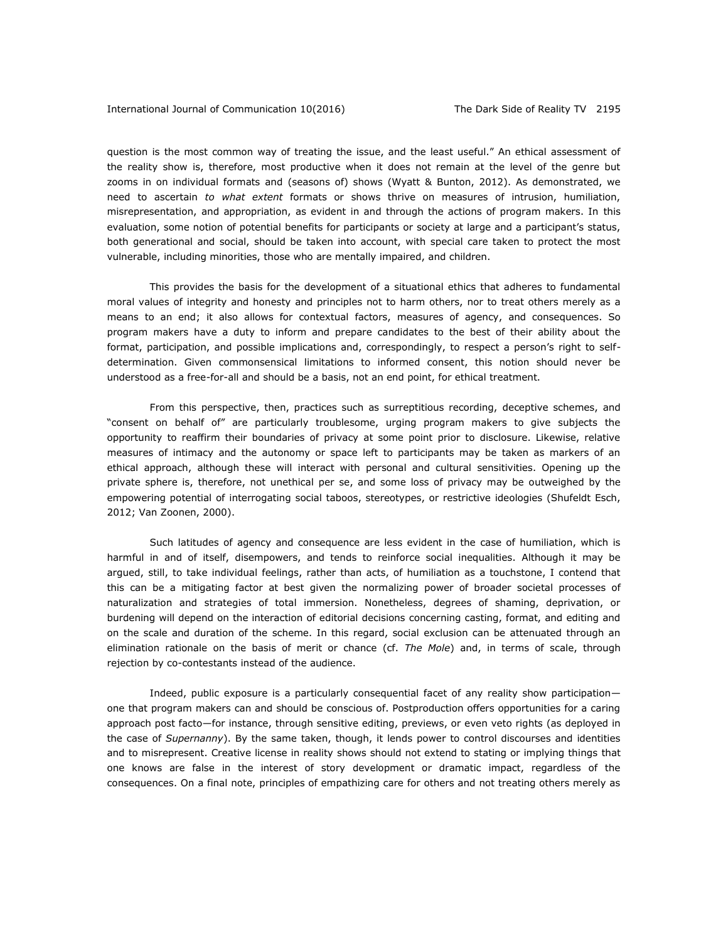question is the most common way of treating the issue, and the least useful." An ethical assessment of the reality show is, therefore, most productive when it does not remain at the level of the genre but zooms in on individual formats and (seasons of) shows (Wyatt & Bunton, 2012). As demonstrated, we need to ascertain *to what extent* formats or shows thrive on measures of intrusion, humiliation, misrepresentation, and appropriation, as evident in and through the actions of program makers. In this evaluation, some notion of potential benefits for participants or society at large and a participant's status, both generational and social, should be taken into account, with special care taken to protect the most vulnerable, including minorities, those who are mentally impaired, and children.

This provides the basis for the development of a situational ethics that adheres to fundamental moral values of integrity and honesty and principles not to harm others, nor to treat others merely as a means to an end; it also allows for contextual factors, measures of agency, and consequences. So program makers have a duty to inform and prepare candidates to the best of their ability about the format, participation, and possible implications and, correspondingly, to respect a person's right to selfdetermination. Given commonsensical limitations to informed consent, this notion should never be understood as a free-for-all and should be a basis, not an end point, for ethical treatment.

From this perspective, then, practices such as surreptitious recording, deceptive schemes, and "consent on behalf of" are particularly troublesome, urging program makers to give subjects the opportunity to reaffirm their boundaries of privacy at some point prior to disclosure. Likewise, relative measures of intimacy and the autonomy or space left to participants may be taken as markers of an ethical approach, although these will interact with personal and cultural sensitivities. Opening up the private sphere is, therefore, not unethical per se, and some loss of privacy may be outweighed by the empowering potential of interrogating social taboos, stereotypes, or restrictive ideologies (Shufeldt Esch, 2012; Van Zoonen, 2000).

Such latitudes of agency and consequence are less evident in the case of humiliation, which is harmful in and of itself, disempowers, and tends to reinforce social inequalities. Although it may be argued, still, to take individual feelings, rather than acts, of humiliation as a touchstone, I contend that this can be a mitigating factor at best given the normalizing power of broader societal processes of naturalization and strategies of total immersion. Nonetheless, degrees of shaming, deprivation, or burdening will depend on the interaction of editorial decisions concerning casting, format, and editing and on the scale and duration of the scheme. In this regard, social exclusion can be attenuated through an elimination rationale on the basis of merit or chance (cf. *The Mole*) and, in terms of scale, through rejection by co-contestants instead of the audience.

Indeed, public exposure is a particularly consequential facet of any reality show participation one that program makers can and should be conscious of. Postproduction offers opportunities for a caring approach post facto—for instance, through sensitive editing, previews, or even veto rights (as deployed in the case of *Supernanny*). By the same taken, though, it lends power to control discourses and identities and to misrepresent. Creative license in reality shows should not extend to stating or implying things that one knows are false in the interest of story development or dramatic impact, regardless of the consequences. On a final note, principles of empathizing care for others and not treating others merely as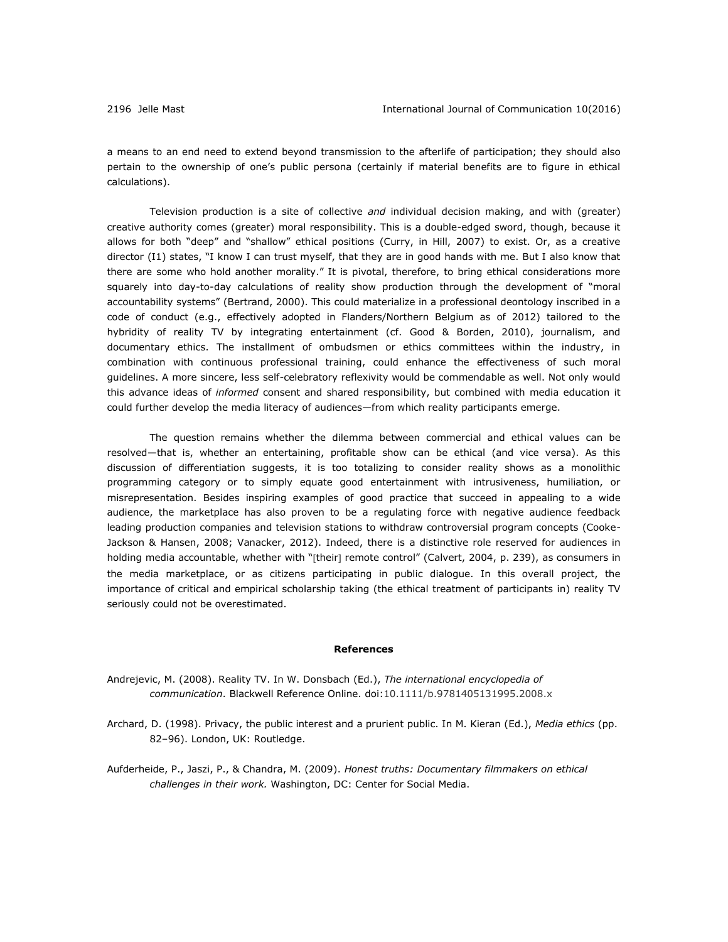a means to an end need to extend beyond transmission to the afterlife of participation; they should also pertain to the ownership of one's public persona (certainly if material benefits are to figure in ethical calculations).

Television production is a site of collective *and* individual decision making, and with (greater) creative authority comes (greater) moral responsibility. This is a double-edged sword, though, because it allows for both "deep" and "shallow" ethical positions (Curry, in Hill, 2007) to exist. Or, as a creative director (I1) states, "I know I can trust myself, that they are in good hands with me. But I also know that there are some who hold another morality." It is pivotal, therefore, to bring ethical considerations more squarely into day-to-day calculations of reality show production through the development of "moral accountability systems" (Bertrand, 2000). This could materialize in a professional deontology inscribed in a code of conduct (e.g., effectively adopted in Flanders/Northern Belgium as of 2012) tailored to the hybridity of reality TV by integrating entertainment (cf. Good & Borden, 2010), journalism, and documentary ethics. The installment of ombudsmen or ethics committees within the industry, in combination with continuous professional training, could enhance the effectiveness of such moral guidelines. A more sincere, less self-celebratory reflexivity would be commendable as well. Not only would this advance ideas of *informed* consent and shared responsibility, but combined with media education it could further develop the media literacy of audiences—from which reality participants emerge.

The question remains whether the dilemma between commercial and ethical values can be resolved—that is, whether an entertaining, profitable show can be ethical (and vice versa). As this discussion of differentiation suggests, it is too totalizing to consider reality shows as a monolithic programming category or to simply equate good entertainment with intrusiveness, humiliation, or misrepresentation. Besides inspiring examples of good practice that succeed in appealing to a wide audience, the marketplace has also proven to be a regulating force with negative audience feedback leading production companies and television stations to withdraw controversial program concepts (Cooke-Jackson & Hansen, 2008; Vanacker, 2012). Indeed, there is a distinctive role reserved for audiences in holding media accountable, whether with "[their] remote control" (Calvert, 2004, p. 239), as consumers in the media marketplace, or as citizens participating in public dialogue. In this overall project, the importance of critical and empirical scholarship taking (the ethical treatment of participants in) reality TV seriously could not be overestimated.

#### **References**

- Andrejevic, M. (2008). Reality TV. In W. Donsbach (Ed.), *The international encyclopedia of communication*. Blackwell Reference Online. doi:10.1111/b.9781405131995.2008.x
- Archard, D. (1998). Privacy, the public interest and a prurient public. In M. Kieran (Ed.), *Media ethics* (pp. 82–96). London, UK: Routledge.
- Aufderheide, P., Jaszi, P., & Chandra, M. (2009). *Honest truths: Documentary filmmakers on ethical challenges in their work.* Washington, DC: Center for Social Media.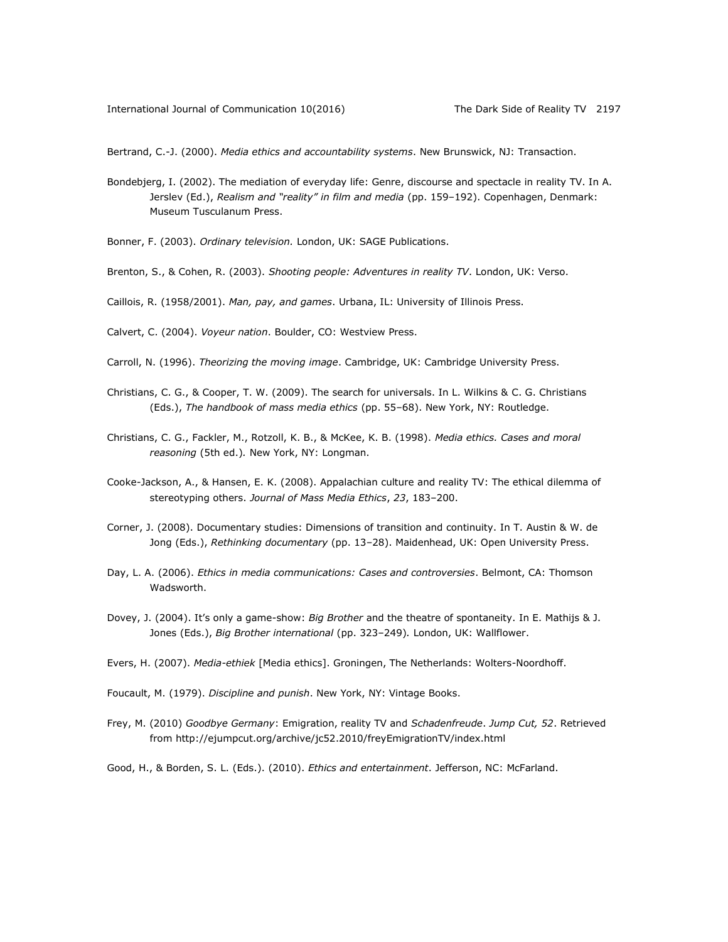Bertrand, C.-J. (2000). *Media ethics and accountability systems*. New Brunswick, NJ: Transaction.

- Bondebjerg, I. (2002). The mediation of everyday life: Genre, discourse and spectacle in reality TV. In A. Jerslev (Ed.), *Realism and "reality" in film and media* (pp. 159–192). Copenhagen, Denmark: Museum Tusculanum Press.
- Bonner, F. (2003). *Ordinary television.* London, UK: SAGE Publications.
- Brenton, S., & Cohen, R. (2003). *Shooting people: Adventures in reality TV*. London, UK: Verso.
- Caillois, R. (1958/2001). *Man, pay, and games*. Urbana, IL: University of Illinois Press.
- Calvert, C. (2004). *Voyeur nation*. Boulder, CO: Westview Press.
- Carroll, N. (1996). *Theorizing the moving image*. Cambridge, UK: Cambridge University Press.
- Christians, C. G., & Cooper, T. W. (2009). The search for universals. In L. Wilkins & C. G. Christians (Eds.), *The handbook of mass media ethics* (pp. 55–68). New York, NY: Routledge.
- Christians, C. G., Fackler, M., Rotzoll, K. B., & McKee, K. B. (1998). *Media ethics. Cases and moral reasoning* (5th ed.)*.* New York, NY: Longman.
- Cooke-Jackson, A., & Hansen, E. K. (2008). Appalachian culture and reality TV: The ethical dilemma of stereotyping others. *Journal of Mass Media Ethics*, *23*, 183–200.
- Corner, J. (2008). Documentary studies: Dimensions of transition and continuity. In T. Austin & W. de Jong (Eds.), *Rethinking documentary* (pp. 13–28). Maidenhead, UK: Open University Press.
- Day, L. A. (2006). *Ethics in media communications: Cases and controversies*. Belmont, CA: Thomson Wadsworth.
- Dovey, J. (2004). It's only a game-show: *Big Brother* and the theatre of spontaneity. In E. Mathijs & J. Jones (Eds.), *Big Brother international* (pp. 323–249)*.* London, UK: Wallflower.
- Evers, H. (2007). *Media-ethiek* [Media ethics]. Groningen, The Netherlands: Wolters-Noordhoff.
- Foucault, M. (1979). *Discipline and punish*. New York, NY: Vintage Books.
- Frey, M. (2010) *Goodbye Germany*: Emigration, reality TV and *Schadenfreude*. *Jump Cut, 52*. Retrieved from<http://ejumpcut.org/archive/jc52.2010/freyEmigrationTV/index.html>
- Good, H., & Borden, S. L. (Eds.). (2010). *Ethics and entertainment*. Jefferson, NC: McFarland.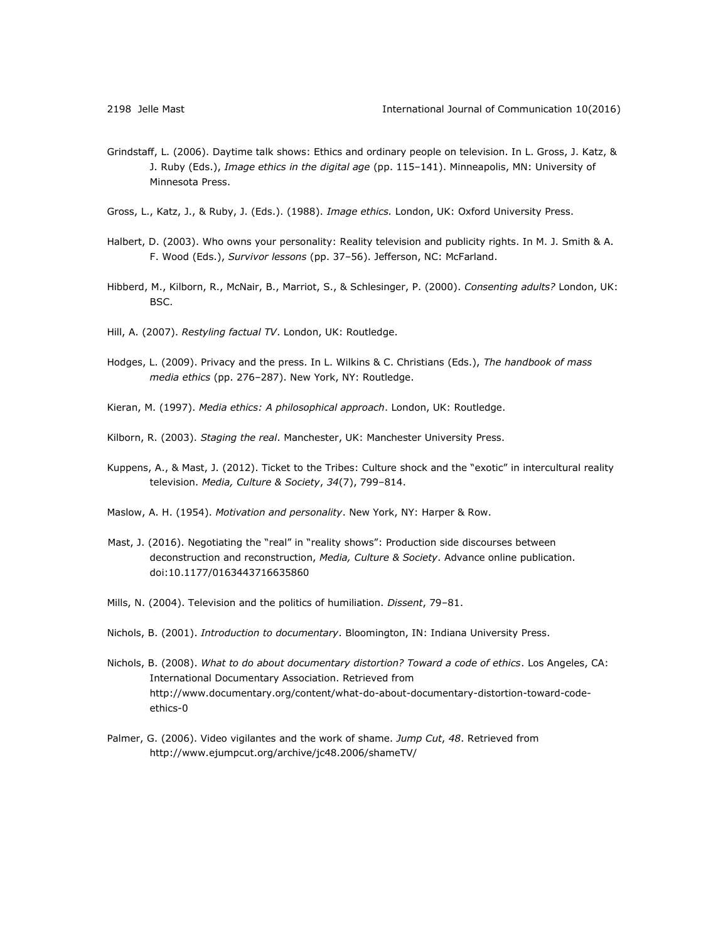- Grindstaff, L. (2006). Daytime talk shows: Ethics and ordinary people on television. In L. Gross, J. Katz, & J. Ruby (Eds.), *Image ethics in the digital age* (pp. 115–141). Minneapolis, MN: University of Minnesota Press.
- Gross, L., Katz, J., & Ruby, J. (Eds.). (1988). *Image ethics.* London, UK: Oxford University Press.
- Halbert, D. (2003). Who owns your personality: Reality television and publicity rights. In M. J. Smith & A. F. Wood (Eds.), *Survivor lessons* (pp. 37–56). Jefferson, NC: McFarland.
- Hibberd, M., Kilborn, R., McNair, B., Marriot, S., & Schlesinger, P. (2000). *Consenting adults?* London, UK: BSC.
- Hill, A. (2007). *Restyling factual TV*. London, UK: Routledge.
- Hodges, L. (2009). Privacy and the press. In L. Wilkins & C. Christians (Eds.), *The handbook of mass media ethics* (pp. 276–287). New York, NY: Routledge.
- Kieran, M. (1997). *Media ethics: A philosophical approach*. London, UK: Routledge.
- Kilborn, R. (2003). *Staging the real*. Manchester, UK: Manchester University Press.
- Kuppens, A., & Mast, J. (2012). Ticket to the Tribes: Culture shock and the "exotic" in intercultural reality television. *Media, Culture & Society*, *34*(7), 799–814.
- Maslow, A. H. (1954). *Motivation and personality*. New York, NY: Harper & Row.
- Mast, J. (2016). Negotiating the "real" in "reality shows": Production side discourses between deconstruction and reconstruction, *Media, Culture & Society*. Advance online publication. doi:10.1177/0163443716635860
- Mills, N. (2004). Television and the politics of humiliation. *Dissent*, 79–81.
- Nichols, B. (2001). *Introduction to documentary*. Bloomington, IN: Indiana University Press.
- Nichols, B. (2008). *What to do about documentary distortion? Toward a code of ethics*. Los Angeles, CA: International Documentary Association. Retrieved from [http://www.documentary.org/content/what-do-about-documentary-distortion-toward-code](http://www.documentary.org/content/what-do-about-documentary-distortion-toward-code-ethics-0)[ethics-0](http://www.documentary.org/content/what-do-about-documentary-distortion-toward-code-ethics-0)
- Palmer, G. (2006). Video vigilantes and the work of shame. *Jump Cut*, *48*. Retrieved from <http://www.ejumpcut.org/archive/jc48.2006/shameTV/>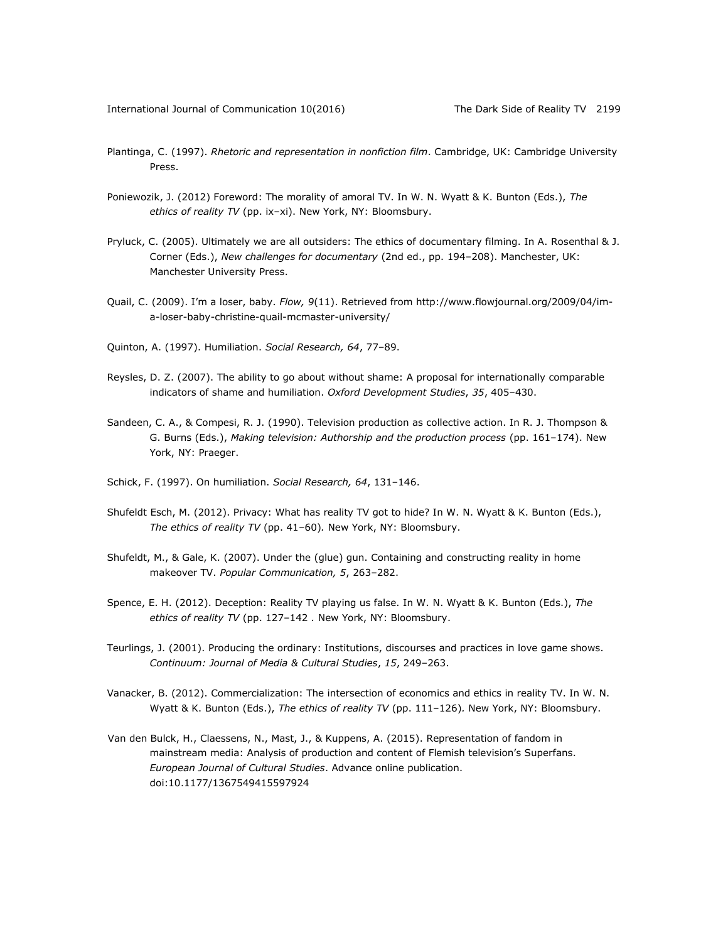- Plantinga, C. (1997). *Rhetoric and representation in nonfiction film*. Cambridge, UK: Cambridge University Press.
- Poniewozik, J. (2012) Foreword: The morality of amoral TV. In W. N. Wyatt & K. Bunton (Eds.), *The ethics of reality TV* (pp. ix–xi). New York, NY: Bloomsbury.
- Pryluck, C. (2005). Ultimately we are all outsiders: The ethics of documentary filming. In A. Rosenthal & J. Corner (Eds.), *New challenges for documentary* (2nd ed., pp. 194–208). Manchester, UK: Manchester University Press.
- Quail, C. (2009). I'm a loser, baby. *Flow, 9*(11). Retrieved from [http://www.flowjournal.org/2009/04/im](http://www.flowjournal.org/2009/04/im-a-loser-baby-christine-quail-mcmaster-university/)[a-loser-baby-christine-quail-mcmaster-university/](http://www.flowjournal.org/2009/04/im-a-loser-baby-christine-quail-mcmaster-university/)
- Quinton, A. (1997). Humiliation. *Social Research, 64*, 77–89.
- Reysles, D. Z. (2007). The ability to go about without shame: A proposal for internationally comparable indicators of shame and humiliation. *Oxford Development Studies*, *35*, 405–430.
- Sandeen, C. A., & Compesi, R. J. (1990). Television production as collective action. In R. J. Thompson & G. Burns (Eds.), *Making television: Authorship and the production process* (pp. 161–174). New York, NY: Praeger.
- Schick, F. (1997). On humiliation. *Social Research, 64*, 131–146.
- Shufeldt Esch, M. (2012). Privacy: What has reality TV got to hide? In W. N. Wyatt & K. Bunton (Eds.), *The ethics of reality TV* (pp. 41–60)*.* New York, NY: Bloomsbury.
- Shufeldt, M., & Gale, K. (2007). Under the (glue) gun. Containing and constructing reality in home makeover TV. *Popular Communication, 5*, 263–282.
- Spence, E. H. (2012). Deception: Reality TV playing us false. In W. N. Wyatt & K. Bunton (Eds.), *The ethics of reality TV* (pp. 127–142 *.* New York, NY: Bloomsbury.
- Teurlings, J. (2001). Producing the ordinary: Institutions, discourses and practices in love game shows. *Continuum: Journal of Media & Cultural Studies*, *15*, 249–263.
- Vanacker, B. (2012). Commercialization: The intersection of economics and ethics in reality TV. In W. N. Wyatt & K. Bunton (Eds.), *The ethics of reality TV* (pp. 111–126)*.* New York, NY: Bloomsbury.
- Van den Bulck, H., Claessens, N., Mast, J., & Kuppens, A. (2015). Representation of fandom in mainstream media: Analysis of production and content of Flemish television's Superfans. *European Journal of Cultural Studies*. Advance online publication. doi:10.1177/1367549415597924